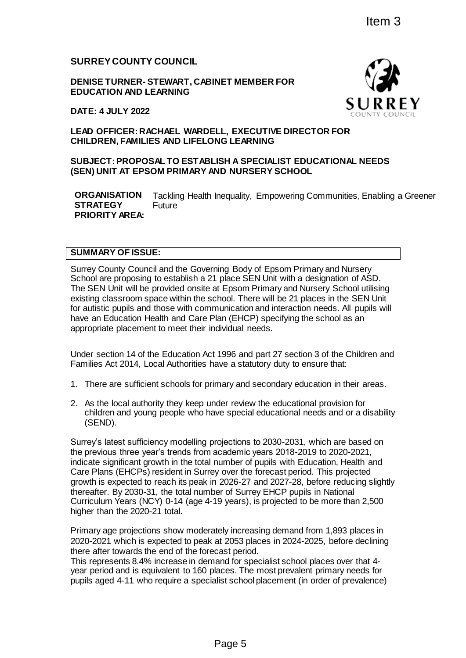# **SURREY COUNTY COUNCIL**

**DENISE TURNER- STEWART, CABINET MEMBER FOR EDUCATION AND LEARNING** 

**DATE: 4 JULY 2022**

## **LEAD OFFICER: RACHAEL WARDELL, EXECUTIVE DIRECTOR FOR CHILDREN, FAMILIES AND LIFELONG LEARNING**

### **SUBJECT: PROPOSAL TO ESTABLISH A SPECIALIST EDUCATIONAL NEEDS (SEN) UNIT AT EPSOM PRIMARY AND NURSERY SCHOOL**

**ORGANISATION STRATEGY PRIORITY AREA:** Tackling Health Inequality, Empowering Communities, Enabling a Greener Future

#### **SUMMARY OF ISSUE:**

Surrey County Council and the Governing Body of Epsom Primary and Nursery School are proposing to establish a 21 place SEN Unit with a designation of ASD. The SEN Unit will be provided onsite at Epsom Primary and Nursery School utilising existing classroom space within the school. There will be 21 places in the SEN Unit for autistic pupils and those with communication and interaction needs. All pupils will have an Education Health and Care Plan (EHCP) specifying the school as an appropriate placement to meet their individual needs.

Under section 14 of the Education Act 1996 and part 27 section 3 of the Children and Families Act 2014, Local Authorities have a statutory duty to ensure that:

- 1. There are sufficient schools for primary and secondary education in their areas.
- 2. As the local authority they keep under review the educational provision for children and young people who have special educational needs and or a disability (SEND).

Surrey's latest sufficiency modelling projections to 2030-2031, which are based on the previous three year's trends from academic years 2018-2019 to 2020-2021, indicate significant growth in the total number of pupils with Education, Health and Care Plans (EHCPs) resident in Surrey over the forecast period. This projected growth is expected to reach its peak in 2026-27 and 2027-28, before reducing slightly thereafter. By 2030-31, the total number of Surrey EHCP pupils in National Curriculum Years (NCY) 0-14 (age 4-19 years), is projected to be more than 2,500 higher than the 2020-21 total. Item 3<br>
NET MEMBER FOR<br>
SUNTRICITY COUNTY COUNTY COUNTY<br>
NG LEARNING<br>
NG LEARNING<br>
ISH A SPECIALIST EDUCATIONAL NEEDS<br>
ND NURSERY SCHOOL<br>
Inequality, Empowering Communities, Enabling a<br>
ingle eset Nulh with a designation o

Primary age projections show moderately increasing demand from 1,893 places in 2020-2021 which is expected to peak at 2053 places in 2024-2025, before declining there after towards the end of the forecast period.

This represents 8.4% increase in demand for specialist school places over that 4 year period and is equivalent to 160 places. The most prevalent primary needs for pupils aged 4-11 who require a specialist school placement (in order of prevalence)

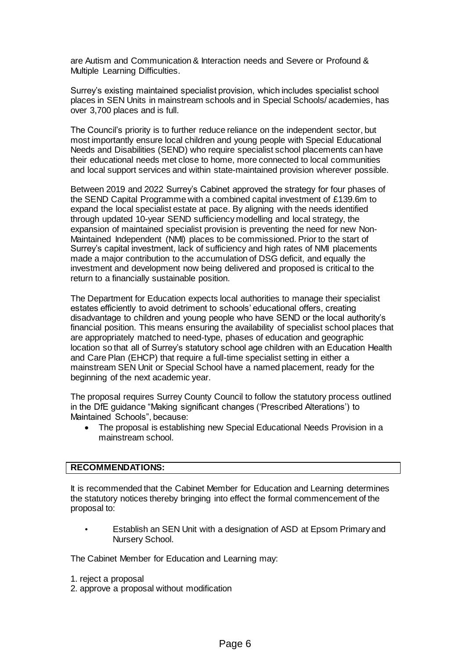are Autism and Communication & Interaction needs and Severe or Profound & Multiple Learning Difficulties.

Surrey's existing maintained specialist provision, which includes specialist school places in SEN Units in mainstream schools and in Special Schools/ academies, has over 3,700 places and is full.

The Council's priority is to further reduce reliance on the independent sector, but most importantly ensure local children and young people with Special Educational Needs and Disabilities (SEND) who require specialist school placements can have their educational needs met close to home, more connected to local communities and local support services and within state-maintained provision wherever possible.

Between 2019 and 2022 Surrey's Cabinet approved the strategy for four phases of the SEND Capital Programme with a combined capital investment of £139.6m to expand the local specialist estate at pace. By aligning with the needs identified through updated 10-year SEND sufficiency modelling and local strategy, the expansion of maintained specialist provision is preventing the need for new Non-Maintained Independent (NMI) places to be commissioned. Prior to the start of Surrey's capital investment, lack of sufficiency and high rates of NMI placements made a major contribution to the accumulation of DSG deficit, and equally the investment and development now being delivered and proposed is critical to the return to a financially sustainable position.

The Department for Education expects local authorities to manage their specialist estates efficiently to avoid detriment to schools' educational offers, creating disadvantage to children and young people who have SEND or the local authority's financial position. This means ensuring the availability of specialist school places that are appropriately matched to need-type, phases of education and geographic location so that all of Surrey's statutory school age children with an Education Health and Care Plan (EHCP) that require a full-time specialist setting in either a mainstream SEN Unit or Special School have a named placement, ready for the beginning of the next academic year.

The proposal requires Surrey County Council to follow the statutory process outlined in the DfE guidance "Making significant changes ('Prescribed Alterations') to Maintained Schools", because:

 The proposal is establishing new Special Educational Needs Provision in a mainstream school.

### **RECOMMENDATIONS:**

It is recommended that the Cabinet Member for Education and Learning determines the statutory notices thereby bringing into effect the formal commencement of the proposal to:

• Establish an SEN Unit with a designation of ASD at Epsom Primary and Nursery School.

The Cabinet Member for Education and Learning may:

- 1. reject a proposal
- 2. approve a proposal without modification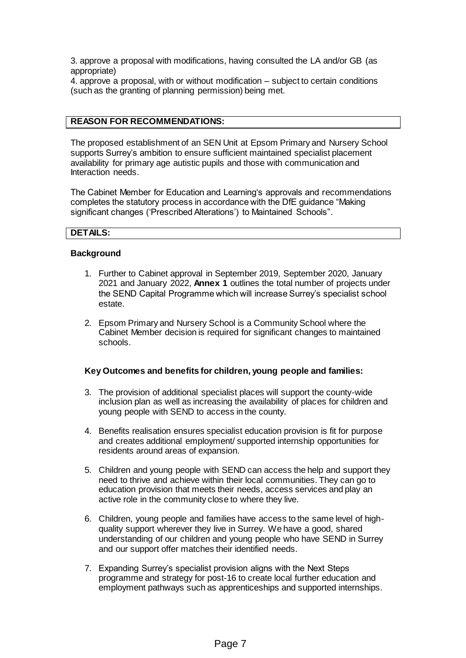3. approve a proposal with modifications, having consulted the LA and/or GB (as appropriate)

4. approve a proposal, with or without modification – subject to certain conditions (such as the granting of planning permission) being met.

### **REASON FOR RECOMMENDATIONS:**

The proposed establishment of an SEN Unit at Epsom Primary and Nursery School supports Surrey's ambition to ensure sufficient maintained specialist placement availability for primary age autistic pupils and those with communication and Interaction needs.

The Cabinet Member for Education and Learning's approvals and recommendations completes the statutory process in accordance with the DfE guidance "Making significant changes ('Prescribed Alterations') to Maintained Schools".

### **DETAILS:**

#### **Background**

- 1. Further to Cabinet approval in September 2019, September 2020, January 2021 and January 2022, **Annex 1** outlines the total number of projects under the SEND Capital Programme which will increase Surrey's specialist school estate.
- 2. Epsom Primary and Nursery School is a Community School where the Cabinet Member decision is required for significant changes to maintained schools.

#### **Key Outcomes and benefits for children, young people and families:**

- 3. The provision of additional specialist places will support the county-wide inclusion plan as well as increasing the availability of places for children and young people with SEND to access in the county.
- 4. Benefits realisation ensures specialist education provision is fit for purpose and creates additional employment/ supported internship opportunities for residents around areas of expansion.
- 5. Children and young people with SEND can access the help and support they need to thrive and achieve within their local communities. They can go to education provision that meets their needs, access services and play an active role in the community close to where they live.
- 6. Children, young people and families have access to the same level of highquality support wherever they live in Surrey. We have a good, shared understanding of our children and young people who have SEND in Surrey and our support offer matches their identified needs.
- 7. Expanding Surrey's specialist provision aligns with the Next Steps programme and strategy for post-16 to create local further education and employment pathways such as apprenticeships and supported internships.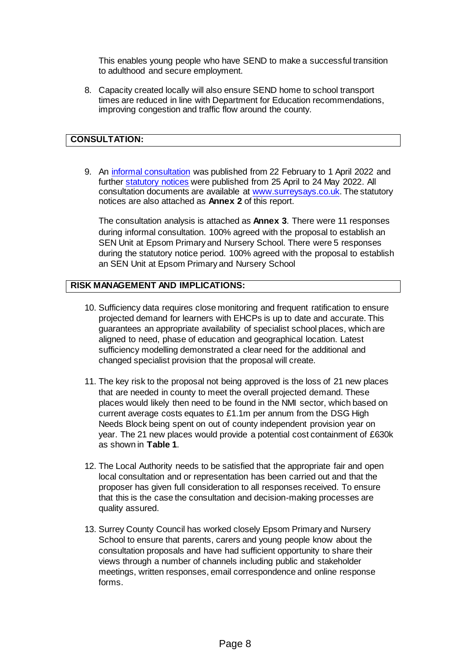This enables young people who have SEND to make a successful transition to adulthood and secure employment.

8. Capacity created locally will also ensure SEND home to school transport times are reduced in line with Department for Education recommendations, improving congestion and traffic flow around the county.

# **CONSULTATION:**

9. An [informal consultation](https://www.surreysays.co.uk/csf/epsom-primary-nursery-school/) was published from 22 February to 1 April 2022 and further [statutory notices](https://www.surreysays.co.uk/csf/statutory-notices-epsom-primary/) were published from 25 April to 24 May 2022. All consultation documents are available at [www.surreysays.co.uk](http://www.surreysays.co.uk/). The statutory notices are also attached as **Annex 2** of this report.

The consultation analysis is attached as **Annex 3**. There were 11 responses during informal consultation. 100% agreed with the proposal to establish an SEN Unit at Epsom Primary and Nursery School. There were 5 responses during the statutory notice period. 100% agreed with the proposal to establish an SEN Unit at Epsom Primary and Nursery School

### **RISK MANAGEMENT AND IMPLICATIONS:**

- 10. Sufficiency data requires close monitoring and frequent ratification to ensure projected demand for learners with EHCPs is up to date and accurate. This guarantees an appropriate availability of specialist school places, which are aligned to need, phase of education and geographical location. Latest sufficiency modelling demonstrated a clear need for the additional and changed specialist provision that the proposal will create.
- 11. The key risk to the proposal not being approved is the loss of 21 new places that are needed in county to meet the overall projected demand. These places would likely then need to be found in the NMI sector, which based on current average costs equates to £1.1m per annum from the DSG High Needs Block being spent on out of county independent provision year on year. The 21 new places would provide a potential cost containment of £630k as shown in **Table 1**.
- 12. The Local Authority needs to be satisfied that the appropriate fair and open local consultation and or representation has been carried out and that the proposer has given full consideration to all responses received. To ensure that this is the case the consultation and decision-making processes are quality assured.
- 13. Surrey County Council has worked closely Epsom Primary and Nursery School to ensure that parents, carers and young people know about the consultation proposals and have had sufficient opportunity to share their views through a number of channels including public and stakeholder meetings, written responses, email correspondence and online response forms.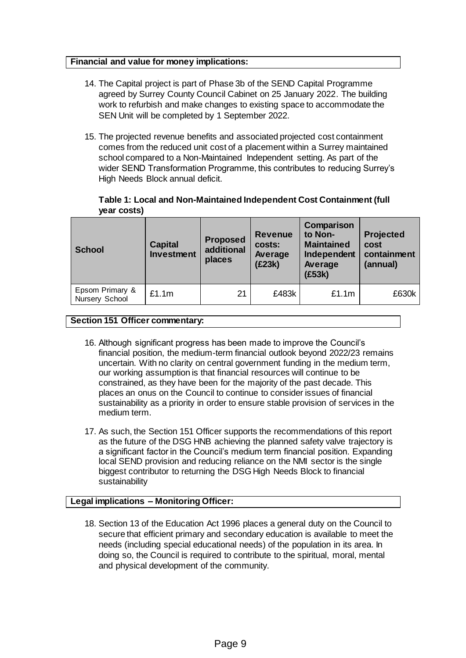### **Financial and value for money implications:**

- 14. The Capital project is part of Phase 3b of the SEND Capital Programme agreed by Surrey County Council Cabinet on 25 January 2022. The building work to refurbish and make changes to existing space to accommodate the SEN Unit will be completed by 1 September 2022.
- 15. The projected revenue benefits and associated projected cost containment comes from the reduced unit cost of a placement within a Surrey maintained school compared to a Non-Maintained Independent setting. As part of the wider SEND Transformation Programme, this contributes to reducing Surrey's High Needs Block annual deficit.

# **Table 1: Local and Non-Maintained Independent Cost Containment (full year costs)**

| <b>School</b>                     | <b>Capital</b><br><b>Investment</b> | <b>Proposed</b><br>additional<br>places | <b>Revenue</b><br><b>costs:</b><br>Average<br>(E23k) | Comparison<br>to Non-<br><b>Maintained</b><br>Independent<br>Average<br>(E53k) | <b>Projected</b><br>cost<br>containment<br>(annual) |
|-----------------------------------|-------------------------------------|-----------------------------------------|------------------------------------------------------|--------------------------------------------------------------------------------|-----------------------------------------------------|
| Epsom Primary &<br>Nursery School | £1.1m                               | 21                                      | £483k                                                | £1.1m                                                                          | £630k                                               |

### **Section 151 Officer commentary:**

- 16. Although significant progress has been made to improve the Council's financial position, the medium-term financial outlook beyond 2022/23 remains uncertain. With no clarity on central government funding in the medium term, our working assumption is that financial resources will continue to be constrained, as they have been for the majority of the past decade. This places an onus on the Council to continue to consider issues of financial sustainability as a priority in order to ensure stable provision of services in the medium term.
- 17. As such, the Section 151 Officer supports the recommendations of this report as the future of the DSG HNB achieving the planned safety valve trajectory is a significant factor in the Council's medium term financial position. Expanding local SEND provision and reducing reliance on the NMI sector is the single biggest contributor to returning the DSG High Needs Block to financial sustainability

# **Legal implications – Monitoring Officer:**

18. Section 13 of the Education Act 1996 places a general duty on the Council to secure that efficient primary and secondary education is available to meet the needs (including special educational needs) of the population in its area. In doing so, the Council is required to contribute to the spiritual, moral, mental and physical development of the community.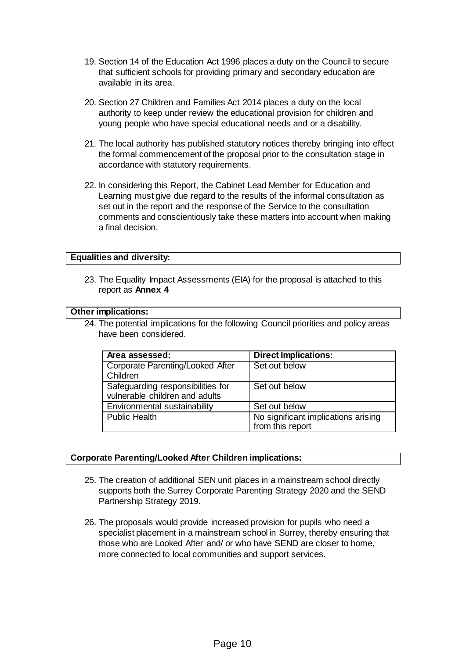- 19. Section 14 of the Education Act 1996 places a duty on the Council to secure that sufficient schools for providing primary and secondary education are available in its area.
- 20. Section 27 Children and Families Act 2014 places a duty on the local authority to keep under review the educational provision for children and young people who have special educational needs and or a disability.
- 21. The local authority has published statutory notices thereby bringing into effect the formal commencement of the proposal prior to the consultation stage in accordance with statutory requirements.
- 22. In considering this Report, the Cabinet Lead Member for Education and Learning must give due regard to the results of the informal consultation as set out in the report and the response of the Service to the consultation comments and conscientiously take these matters into account when making a final decision.

### **Equalities and diversity:**

23. The Equality Impact Assessments (EIA) for the proposal is attached to this report as **Annex 4**

### **Other implications:**

24. The potential implications for the following Council priorities and policy areas have been considered.

| Area assessed:                                                      | <b>Direct Implications:</b>                             |  |
|---------------------------------------------------------------------|---------------------------------------------------------|--|
| <b>Corporate Parenting/Looked After</b><br>Children                 | Set out below                                           |  |
| Safeguarding responsibilities for<br>vulnerable children and adults | Set out below                                           |  |
| Environmental sustainability                                        | Set out below                                           |  |
| <b>Public Health</b>                                                | No significant implications arising<br>from this report |  |

### **Corporate Parenting/Looked After Children implications:**

- 25. The creation of additional SEN unit places in a mainstream school directly supports both the Surrey Corporate Parenting Strategy 2020 and the SEND Partnership Strategy 2019.
- 26. The proposals would provide increased provision for pupils who need a specialist placement in a mainstream school in Surrey, thereby ensuring that those who are Looked After and/ or who have SEND are closer to home, more connected to local communities and support services.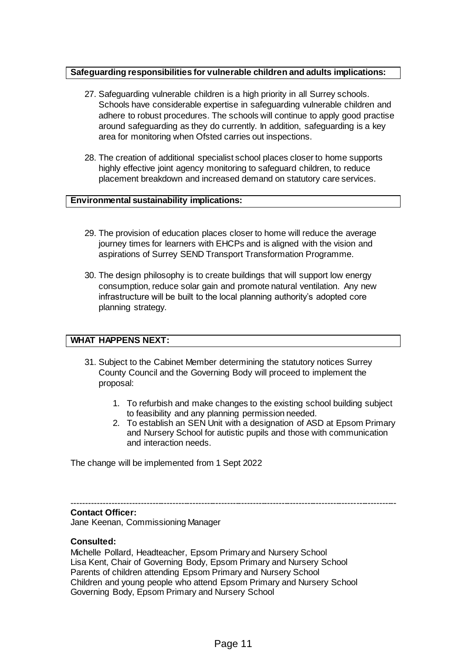# **Safeguarding responsibilities for vulnerable children and adults implications:**

- 27. Safeguarding vulnerable children is a high priority in all Surrey schools. Schools have considerable expertise in safeguarding vulnerable children and adhere to robust procedures. The schools will continue to apply good practise around safeguarding as they do currently. In addition, safeguarding is a key area for monitoring when Ofsted carries out inspections.
- 28. The creation of additional specialist school places closer to home supports highly effective joint agency monitoring to safeguard children, to reduce placement breakdown and increased demand on statutory care services.

### **Environmental sustainability implications:**

- 29. The provision of education places closer to home will reduce the average journey times for learners with EHCPs and is aligned with the vision and aspirations of Surrey SEND Transport Transformation Programme.
- 30. The design philosophy is to create buildings that will support low energy consumption, reduce solar gain and promote natural ventilation. Any new infrastructure will be built to the local planning authority's adopted core planning strategy.

# **WHAT HAPPENS NEXT:**

- 31. Subject to the Cabinet Member determining the statutory notices Surrey County Council and the Governing Body will proceed to implement the proposal:
	- 1. To refurbish and make changes to the existing school building subject to feasibility and any planning permission needed.
	- 2. To establish an SEN Unit with a designation of ASD at Epsom Primary and Nursery School for autistic pupils and those with communication and interaction needs.

The change will be implemented from 1 Sept 2022

-----------------------------------------------------------------------------------------------------------------

# **Contact Officer:**

Jane Keenan, Commissioning Manager

#### **Consulted:**

Michelle Pollard, Headteacher, Epsom Primary and Nursery School Lisa Kent, Chair of Governing Body, Epsom Primary and Nursery School Parents of children attending Epsom Primary and Nursery School Children and young people who attend Epsom Primary and Nursery School Governing Body, Epsom Primary and Nursery School